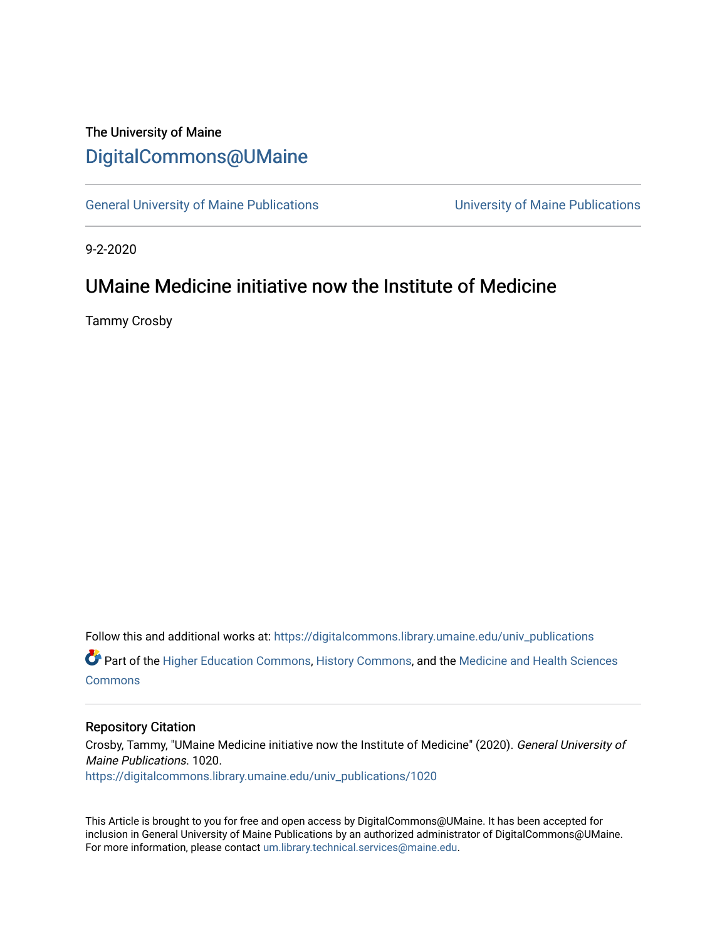# The University of Maine [DigitalCommons@UMaine](https://digitalcommons.library.umaine.edu/)

[General University of Maine Publications](https://digitalcommons.library.umaine.edu/univ_publications) [University of Maine Publications](https://digitalcommons.library.umaine.edu/umaine_publications) 

9-2-2020

## UMaine Medicine initiative now the Institute of Medicine

Tammy Crosby

Follow this and additional works at: [https://digitalcommons.library.umaine.edu/univ\\_publications](https://digitalcommons.library.umaine.edu/univ_publications?utm_source=digitalcommons.library.umaine.edu%2Funiv_publications%2F1020&utm_medium=PDF&utm_campaign=PDFCoverPages)  Part of the [Higher Education Commons,](http://network.bepress.com/hgg/discipline/1245?utm_source=digitalcommons.library.umaine.edu%2Funiv_publications%2F1020&utm_medium=PDF&utm_campaign=PDFCoverPages) [History Commons,](http://network.bepress.com/hgg/discipline/489?utm_source=digitalcommons.library.umaine.edu%2Funiv_publications%2F1020&utm_medium=PDF&utm_campaign=PDFCoverPages) and the [Medicine and Health Sciences](http://network.bepress.com/hgg/discipline/648?utm_source=digitalcommons.library.umaine.edu%2Funiv_publications%2F1020&utm_medium=PDF&utm_campaign=PDFCoverPages)  [Commons](http://network.bepress.com/hgg/discipline/648?utm_source=digitalcommons.library.umaine.edu%2Funiv_publications%2F1020&utm_medium=PDF&utm_campaign=PDFCoverPages)

#### Repository Citation

Crosby, Tammy, "UMaine Medicine initiative now the Institute of Medicine" (2020). General University of Maine Publications. 1020. [https://digitalcommons.library.umaine.edu/univ\\_publications/1020](https://digitalcommons.library.umaine.edu/univ_publications/1020?utm_source=digitalcommons.library.umaine.edu%2Funiv_publications%2F1020&utm_medium=PDF&utm_campaign=PDFCoverPages)

This Article is brought to you for free and open access by DigitalCommons@UMaine. It has been accepted for inclusion in General University of Maine Publications by an authorized administrator of DigitalCommons@UMaine. For more information, please contact [um.library.technical.services@maine.edu](mailto:um.library.technical.services@maine.edu).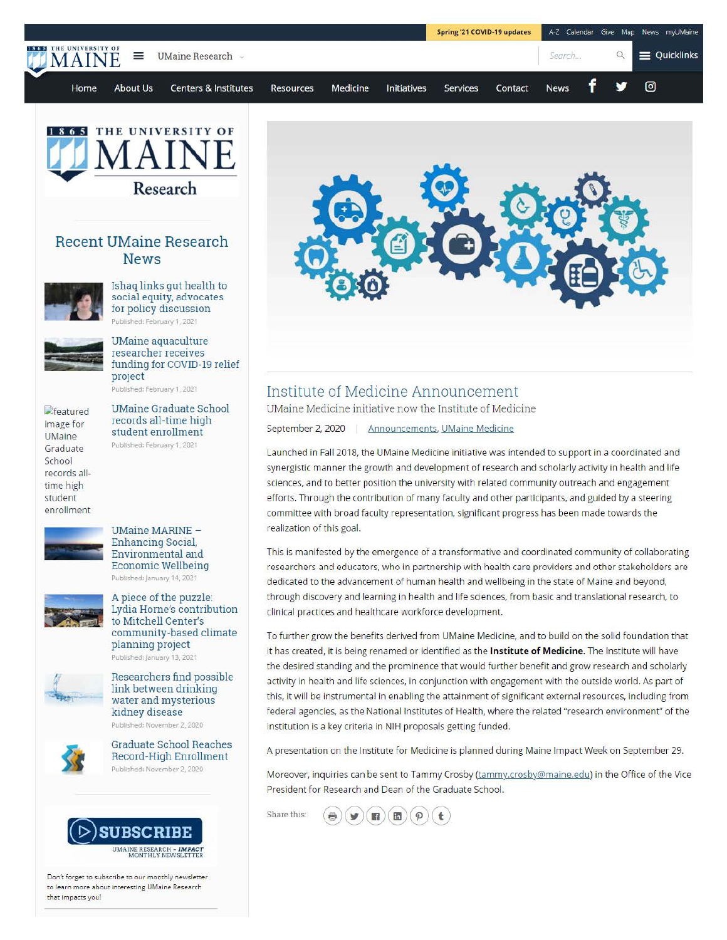



### **Recent UMaine Research News**



Ishaq links gut health to social equity, advocates for policy discussion Published: February 1, 2021



UMaine aquaculture researcher receives funding for COVID-19 relief project Published: February 1, 2021

 $<sub>e</sub>$  featured</sub> image for **UMaine** Graduate School records alltime high student enrollment

UMaine Graduate School records all-time high student enrollment Published: February 1, 2021



#### UMaine MARINE - Enhancing Social, Environmental and Economic Wellbeing Published: January 14, 2021



A piece of the puzzle Lydia Horne's contribution to Mitchell Center's community-based climate planning project Published: January 13, 2021



Researchers find possible link between drinking water and mysterious kidney disease Published: November 2, 2020



Graduate School Reaches Record-High Enrollment Published: November 2, 2020



**Don't forget to subscribe to our monthly newsleuer to learn more about interesting UMaine Research that impacts you!** 



## Institute of Medicine Announcement

UMaine Medicine initiative now the Institute of Medicine

September 2, 2020 | Announcements, UMaine Medicine

Launched in Fall 2018, the UMaine Medicine initiative was intended to support in a coordinated and synergistic manner the growth and development of research and scholarly activity in health and life sciences, and to better position the university with related community outreach and engagement efforts. Through the contribution of many faculty and other participants, and guided by a steering committee with broad faculty representation, significant progress has been made towards the realization of this goal.

This is manifested by the emergence of a transformative and coordinated community of collaborating researchers and educators, who in partnership with health care providers and other stakeholders are dedicated to the advancement of human health and wellbeing in the state of Maine and beyond, through discovery and learning in health and life sciences, from basic and translational research, to clinical practices and healthcare workforce development.

To further grow the benefits derived from UMaine Medicine, and to build on the solid foundation that it has created, it is being renamed or identified as the **Institute of Medicine.** The Institute will have the desired standing and the prominence that would further benefit and grow research and scholarly activity in health and life sciences, in conjunction with engagement with the outside world. As part of this. it will be instrumental in enabling the attainment of significant external resources, including from federal agencies, as the National Institutes of Health, where the related "research environment" of the institution is a key criteria in NIH proposals getting funded.

A presentation on the Institute for Medicine is planned during Maine Impact Week on September 29.

Moreover, inquiries can be sent to Tammy Crosby (tammy.crosby@maine.edu) in the Office of the Vice President for Research and Dean of the Graduate School.